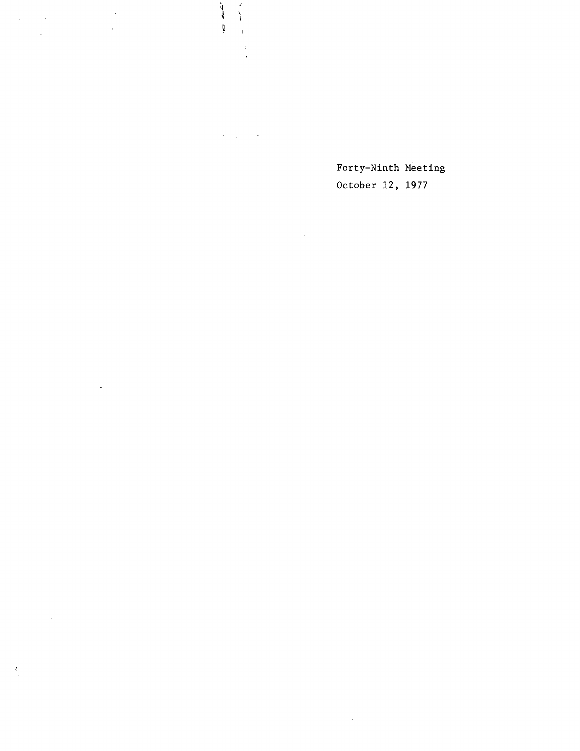$\Delta \sim 10^{11}$  km s  $^{-1}$  $\sim$ r  $\frac{1}{2}$  ,  $\frac{1}{2}$  $\sim 10^{11}$ 

 $\mathcal{A}=\frac{1}{2} \sum_{i=1}^{n} \frac{1}{2} \sum_{j=1}^{n} \frac{1}{2} \sum_{j=1}^{n} \frac{1}{2} \sum_{j=1}^{n} \frac{1}{2} \sum_{j=1}^{n} \frac{1}{2} \sum_{j=1}^{n} \frac{1}{2} \sum_{j=1}^{n} \frac{1}{2} \sum_{j=1}^{n} \frac{1}{2} \sum_{j=1}^{n} \frac{1}{2} \sum_{j=1}^{n} \frac{1}{2} \sum_{j=1}^{n} \frac{1}{2} \sum_{j=1}^{n} \frac{1}{2} \sum_{$ 

اشعار ہے۔

Ì

 $\Lambda$  $\bar{\mathbf{r}}$ 

 $\sim$ 

 $\mathcal{L}^{\text{max}}_{\text{max}}$  $\omega$ 

 $\sim 10^6$  $\sim$ 

 $\boldsymbol{\xi}$ 

 $\sim 400$ 

Forty-Ninth Meeting October 12, 1977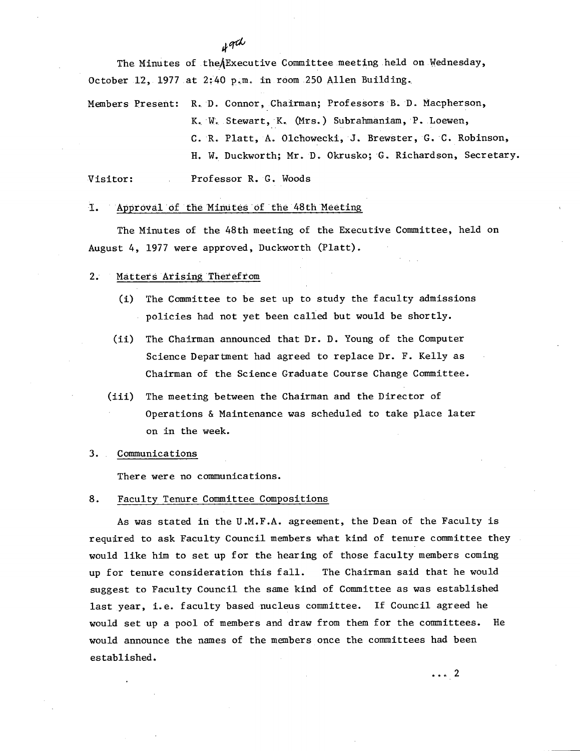The Minutes of theAExecutive Committee meeting held on Wednesday, October 12, 1977 at 2:40 p.m. in room 250 Allen Building.

Members Present: R., D. Connor, Chairman; Professors B. D. Macpherson, K. W. Stewart, K. (Mrs.) Subrahmaniam, P. Loewen, C. R. Platt, A. Olchowecki, J. Brewster, G. 'C. Robinson, H. W. Duckworth; Mr. B. Okrusko; G. Richardson, Secretary.

Visitor: Professor R. G. Woods

# 1. Approval of the Minutes of the 48th Meeting

The Minutes of the 48th meeting of the Executive Committee, held on August 4, 1977 were approved, Duckworth (Platt).

# 2. Matters Arising Therefrom

- (i) The Committee to be set up to study the faculty admissions policies had not yet been called but would be shortly.
- (ii) The Chairman announced that Dr. D. Young of the Computer Science Department had agreed to replace Dr. F. Kelly as Chairman of the Science Graduate Course Change Committee.
- $(iii)$ The meeting between the Chairman and the Director of Operations & Maintenance was scheduled to take place later on in the week.
- 3. Communications

There were no communications.

## 8. Faculty Tenure Committee Compositions

As was stated in the U.M.F.A. agreement, the Dean of the Faculty is required to ask Faculty Council members what kind of tenure committee they would like him to set up for the hearing of those faculty members coming up for tenure consideration this fall. The Chairman said that he would suggest to Faculty Council the same kind of Committee as was established last year, i.e. faculty based nucleus committee. If Council agreed he would set up a pool of members and draw from them for the committees. He would announce the names of the members once the committees had been established.

 $\cdots$  2

oth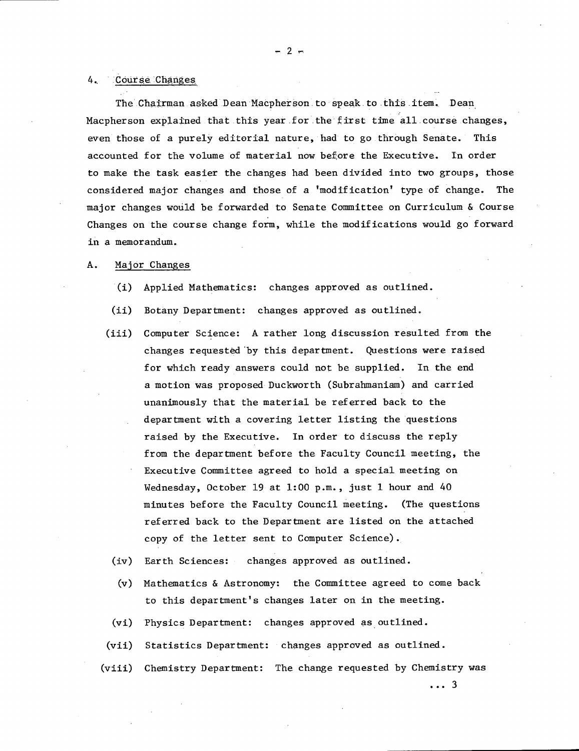## 4. Course Changes

The Chairman asked Dean Macpherson to speak to this item. Dean Macpherson explained that this year for the first time all.course changes, even those of a purely editorial nature, had to go through Senate. This accounted for the volume of material now before the Executive. In order to make the task easier the changes had been divided into two groups, those considered major changes and those of a 'modification' type of change. The major changes would be forwarded to Senate Committee on Curriculum & Course Changes on the course change form, while the modifications would go forward in a memorandum..

# A. Major Changes

- (1) Applied Mathematics: changes approved as outlined.
- $(ii)$ Botany Department: changes approved as outlined.
- Computer Science: A rather long discussion resulted from the  $(iii)$ changes requested by this department. Questions were raised for which ready answers could not be supplied. In the end a motion was proposed Duckworth (Subrahmaniam) and carried unanimously that the material be referred back to the department with a covering letter listing the questions raised by the Executive. In order to discuss the reply from the department before the Faculty Council meeting, the Executive Committee agreed to hold a special meeting on Wednesday, October 19 at 1:00 p.m., just 1 hour and 40 minutes before the Faculty Council meeting. (The questions referred back to the Department are listed on the attached copy of the letter sent to Computer Science).
- Earth Sciences: changes approved as outlined.
- Mathematics & Astronomy: the Committee agreed to come back  $(v)$ to this department's changes later on in the meeting.
- Physics Department: changes approved as outlined.
- (vii) Statistics Department: changes approved as outlined.
- Chemistry Department: The change requested by Chemistry was  $(viii)$

...3

 $-2-$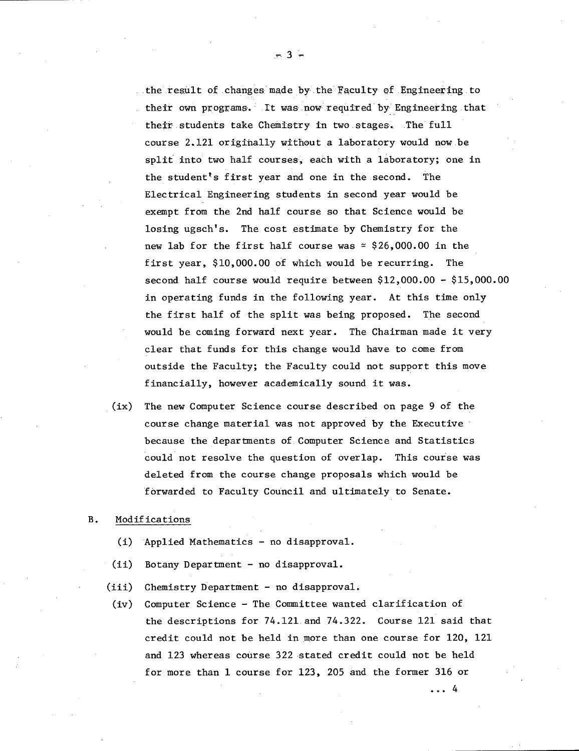the result of changes made by the Faculty of Engineering to their own programs. It was now required by Engineering that their students take Chemistry in two stages. The full course 2.121 origihally without a laboratory would now.be split into two half courses, eachwith a laboratory; one in the student's first year and one in the second. The Electrical Engineering students in second year would be exempt from the 2nd half course so that Science would be losing ugsch's. The cost estimate by Chemistry for the new lab for the first half course was  $\simeq$  \$26,000.00 in the first year, \$10,000.00 of which would be recurring. The second half course would require between \$12,000.00 - \$15,000.00 in operating funds in the following year. At this time only the first half of the split was being proposed. The second would be coming forward next year. The Chairman made it very clear that funds for this change would have to come from outside the Faculty; the Faculty could not support this move financially, however academically sound it was.

(ix) The new Computer Science course described on page 9 of the course change material was not approved by the Executive because the departments of Computer Science and Statistics could not resolve the question of overlap. This course was deleted from the course change proposals which would be forwarded to Faculty Council and ultimately to Senate.

### B. Modifications

- (I) Applied Mathematics no disapproval.
- $(ii)$ Botany Department - no disapproval.
- $(iii)$ Chemistry Department - no disapproval.
- $(iv)$ Computer Science - The Committee wanted clarification of the descriptions for 74.121 and 74.322. Course 121 said that credit could not be held in more than one course for 120, 121 and 123 whereas course 322 stated credit could not be held for more than 1 course for 123, 205 and the former 316 or

 $\ldots$  4

-3-.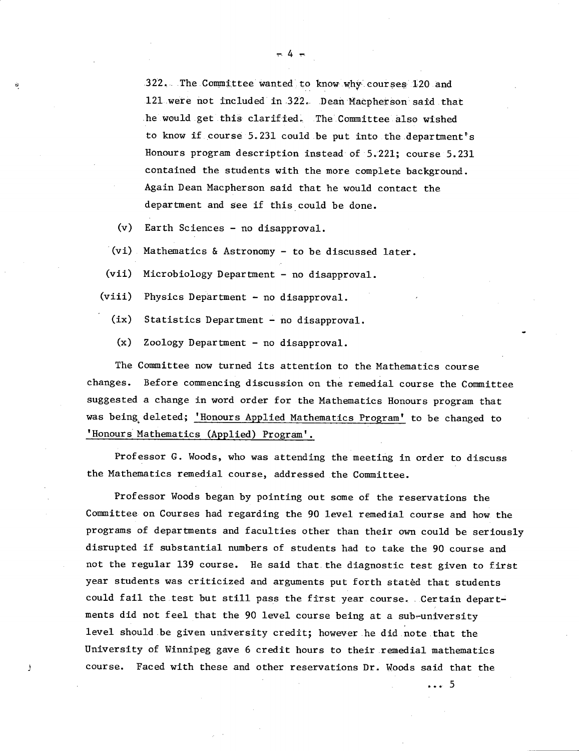322. The Committee wanted to know why courses 120 and 121 were not included in 322. Dean Macpherson said that he would get this clarified. The Committee also wished to know if course 5.231 could be put into the department's Honours program description instead of 5.221; course 5.231 contained the students with the more complete background. Again Dean Macpherson said that he would contact the department and see if this could be done.

 $(v)$ Earth Sciences - no disapproval.

 $(vi)$  Mathematics & Astronomy - to be discussed later.

(vii) Microbiology Department - no disapproval.

(viii) Physics Department - no disapproval.

(ix) Statistics Department - no disapproval.

 $(x)$ Zoology Department - no disapproval.

The Committee now turned its attention to the Mathematics course changes. Before commencing discussion on the remedial course the Committee suggested a change in word order for the Mathematics Honours program that was being deleted; 'Honours Applied Mathematics Program' to be changed to 'Honours Mathematics (Applied) Program'.

Professor G. Woods, who was attending the meeting in order to discuss the Mathematics remedial course, addressed the Committee.

Professor Woods began by pointing out some of the reservations the Committee on Courses had regarding the 90 level remedial course and how the programs of departments and faculties other than their own could be seriously disrupted if substantial numbers of students had to take the 90 course and not the regular 139 course. He said that the diagnostic test given to first year students was criticized and arguments put forth stated that students could fail the test but still pass the first year course. Certain departments did not feel that the 90 level course being at a sub-university level should .be given university credit; however .he did note .that the University of Winnipeg gave 6 credit hours to their remedial mathematics course. Faced with these and other reservations Dr. Woods said that the

... 5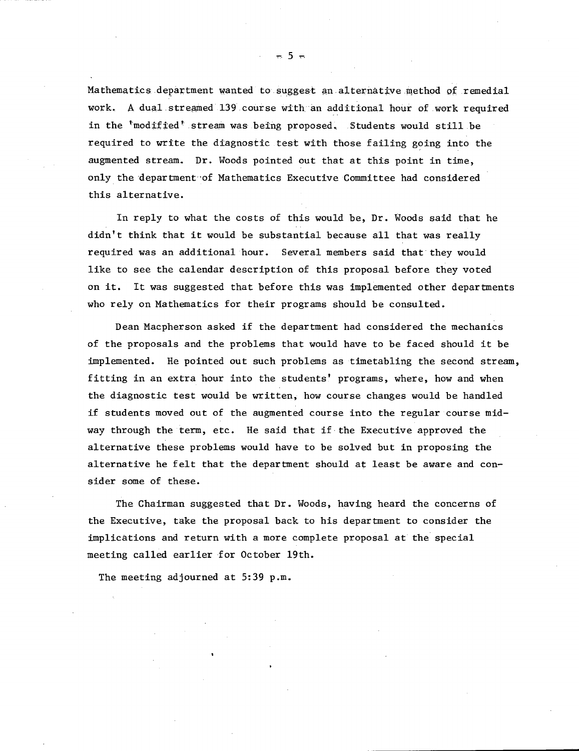Mathematics department wanted to suggest an alternative method of remedial work. A dual streamed 139 course with an additional hour of work required in the 'modified' stream was being proposed. Students would still be required to write the diagnostic test with those failing going into the augmented stream. Dr. Woods pointed out that at this point in time, only the department of Mathematics Executive Committee had considered this alternative.

In reply to what the costs of this would be, Dr. Woods said that he didn't think that it would be substantial because all that was really required was an additional hour. Several members said that they would like to see the calendar description of this proposal before they voted on it. It was suggested that before this was implemented other departments who rely on Mathematics for their programs should be consulted.

Dean Macpherson asked if the department had considered the mechanics of the proposals and the problems that would have to be faced should it be implemented. He pointed out such problems as timetabling the second stream, fitting in an extra hour into the students' programs, where, how and when the diagnostic test would be written, how course changes would be handled if students moved out of the augmented course into the regular course midway through the term, etc. He said that if-the Executive approved the alternative these problems would have to be solved but in proposing the alternative he felt that the department should at least be aware and consider some of these.

The Chairman suggested that Dr. Woods, having heard the concerns of the Executive, take the proposal back to his department to consider the implications and return with a more complete proposal at the special meeting called earlier for October 19th.

The meeting adjourned at 5:39 p.m.

 $-5 -$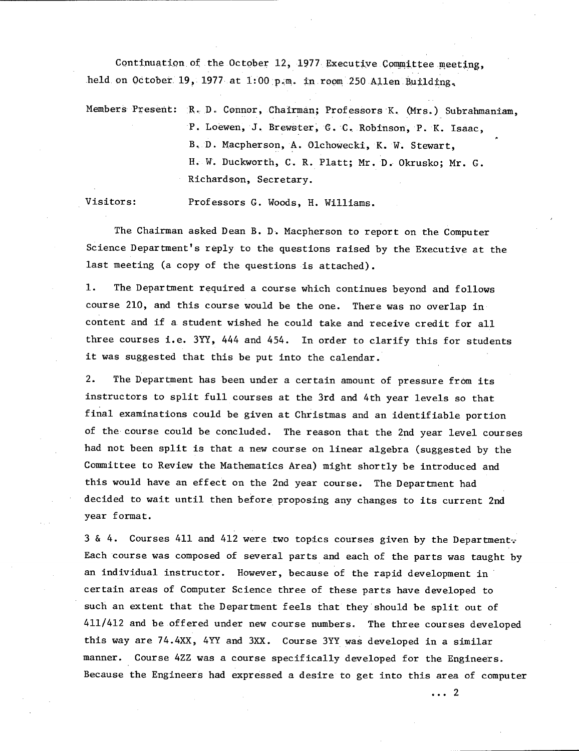Continuation of the October 12, 1977 Executive Committee meeting, held on October 19, 1977 at 1:00 p.m. in room 250 Allen Building.

Members Present: R. D. Connor, Chairman; Professors K. (Mrs.) Subrahmaniam, P. Loewen, J. Brewster, G. C. Robinson, P. K. Isaac, B.D. Macpherson, A. Olchowecki, K. W. Stewart, H. W. Duckworth, C. R. Platt; Mr. D. Okrusko; Mr. G. Richardson, Secretary.

Visitors: Professors G. Woods, H. Williams.

The Chairman asked Dean B. D. Macpherson to report on the Computer Science Department's reply to the questions raised by the Executive at the last meeting (a copy of the questions is attached).

 $1.$ The Department required a course which continues beyond and follows course 210, and this course would be the one. There was no overlap in content and if a student wished he could take and receive credit for all three courses i.e. 3YY, 444 and 454. In order to clarify this for students it was suggested that this be put into the calendar.

 $2.$ The Department has been under a certain amount of pressure from its instructors to split full courses at the 3rd and 4th year levels so that final examinations could be given at Christmas and an identifiable portion of the course could be concluded. The reason that the 2nd year level courses had not been split is that a new course on linear algebra (suggested by the Committee to Review the Mathematics Area) might shortly be introduced and this would have an effect on the 2nd year course. The Department had decided to wait until then before proposing any changes to its current 2nd year format.

3 & 4. Courses 411 and 412 were two topics courses given by the Department Each course was composed of several parts and each of the parts was taught by an individual instructor. However, because of the rapid development in certain areas of Computer Science three of these parts have developed to such an extent that the Department feels that they should be split out of 411/412 and be offered under new course numbers. The three courses developed this way are 74.4XX, 4YY and 3XX. Course 3YY was developed in a similar manner. Course 4ZZ was a course specifically developed for the Engineers. Because the Engineers had expressed a desire to get into this area of computer

 $\cdots$  2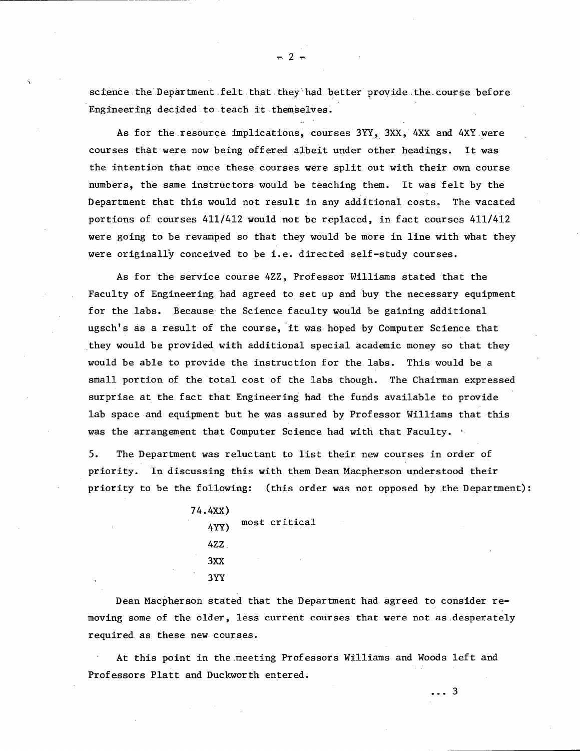science the Department felt that they had better provide the course before Engineering decided to teach it themselves.

As for the resource implications, courses 3YY, 3XX, 4XX and 4XY were courses that were now being offered albeit under other headings. It was the intention that once these courses were split out with their own course numbers, the same instructors would be teaching them. It was felt by the Department that this would not result in any additional costs. The vacated portions of courses 411/412 would not be replaced, in fact courses 411/412 were going to be revamped so that they would be more in line with what they were originally conceived to be i.e. directed self-study courses.

As for the service course 4ZZ, Professor Williams stated that the Faculty of Engineering had agreed to set up and buy the necessary equipment for the labs. Because the Science faculty would be gaining additional ugsch's as a result of the course, it was hoped by Computer Science that they would be provided with additional special academic money so that they would be able to provide the instruction for the labs. This would be a small portion of the total cost of the labs though. The Chairman expressed surprise at the fact that Engineering had the funds available to provide lab space and equipment but he was assured by Professor Williams that this was the arrangement that Computer Science had with that Faculty.

5. The Department was reluctant to list their new courses in order of priority. In discussing this with them Dean Macpherson understood their priority to be the following: (this order was not opposed by the Department):

74.4XX) 4YY) most critical 4ZZ. 3XX 3YY

Dean Macpherson stated that the Department had agreed to consider removing some of the older, less current courses that were not as desperately required as these new courses.

At this point in the meeting Professors Williams and Woods left and Professors Platt and Duckworth entered.

 $\ldots$  3

 $-2-$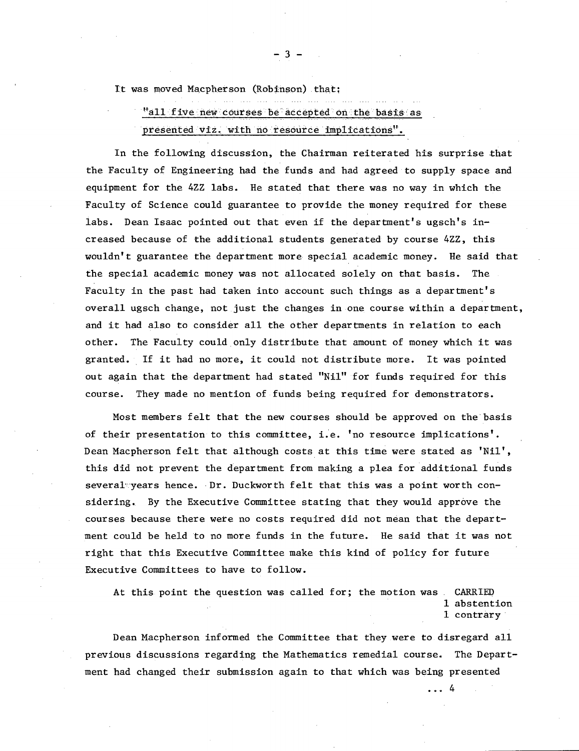It was moved Macpherson (Robinson) that;

"all five new courses be accepted on the basis as presented viz. with no resource implications".

In the following discussion, the Chairman reiterated his surprise that the Faculty of Engineering had the funds and had agreed to supply space and equipment for the 4ZZ labs. He stated that there was no way in which the Faculty of Science could guarantee to provide the money required for these labs. Dean Isaac pointed out that even if the department's ugsch's increased because of the additional students generated by course 4ZZ, this wouldn't guarantee the department more special academic money. He said that the special academic money was not allocated solely on that basis. The Faculty in the past had taken into account such things as a department's overall ugsch change, not just the changes in one course within a department, and it had also to consider all the Other departments in relation to each other. The Faculty could only distribute that amount of money which it was granted. If it had no more, it could not distribute more. It was pointed out again that the department had stated "Nil" for funds required for this course. They made no mention of funds being required for demonstrators.

Most members felt that the new courses should be approved on the basis of their presentation to this committee, i.e. 'no resource implications'. Dean Macpherson felt that although costs at this time were stated as 'Nil', this did not prevent the department from making a plea for additional funds several years hence. Dr. Duckworth felt that this was a point worth considering. By the Executive Committee stating that they would approve the courses because there were no costs required did not mean that the department could be held to no more funds in the future. He said that it was not right that this Executive Committee make this kind of policy for future Executive Committees to have to follow.

At this point the question was called for; the motion was CARRIED 1 abstention 1 contrary

...4

Dean Macpherson informed the Committee that they were to disregard all previous discussions regarding the Mathematics remedial course. The Department had changed their submission again to that which was being presented

-3-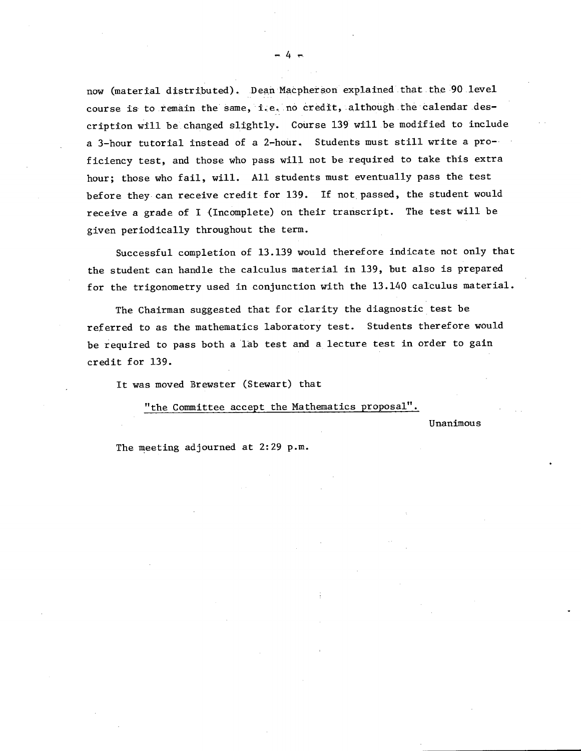now (material distributed). Dean Macpherson explained that the 90 level course is to remain the same, i.e. no credit, although the calendar description will be changed slightly. Course 139 will be modified to include a 3-hour tutorial instead of a 2-hour. Students must still write a proficiency test, and those who pass will not be required to take this extra hour; those who fail, will. All students must eventually pass the test before they can receive credit for 139. If not, passed, the student would receive a grade of I (Incomplete) on their transcript. The test will be given periodically throughout the term.

Successful completion of 13.139 would therefore indicate not only that the student can handle the calculus material in 139, but also is prepared for the trigonometry used in conjunction with the 13.140 calculus material.

The Chairman suggested that for clarity the diagnostic test be referred to as the mathematics laboratory test. Students therefore would be required to pass both a lab test and a lecture test in order to gain credit for 139.

It was moved Brewster (Stewart) that

"the Committee accept the Mathematics proposal". . .

Unanimous

The meeting adjourned at 2:29 p.m.